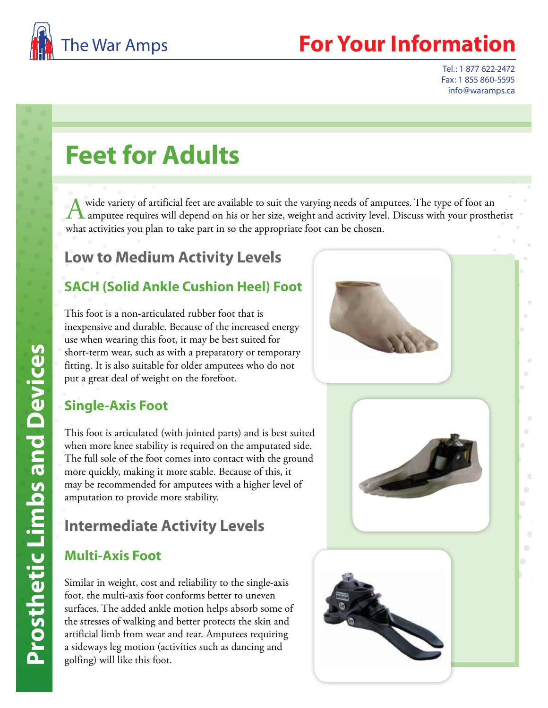

## **For Your Information**

Tel.: 1 877 622-2472 Fax: 1 855 860-5595 info@waramps.ca

# **Feet for Adults**

A wide variety of artificial feet are available to suit the varying needs of amputees. The type of foot an amputee requires will depend on his or her size, weight and activity level. Discuss with your prosthetist what activities you plan to take part in so the appropriate foot can be chosen.

## **Low to Medium Activity Levels**

#### **SACH (Solid Ankle Cushion Heel) Foot**

This foot is a non-articulated rubber foot that is inexpensive and durable. Because of the increased energy use when wearing this foot, it may be best suited for short-term wear, such as with a preparatory or temporary fitting. It is also suitable for older amputees who do not put a great deal of weight on the forefoot.



#### **Single-Axis Foot**

This foot is articulated (with jointed parts) and is best suited when more knee stability is required on the amputated side. The full sole of the foot comes into contact with the ground more quickly, making it more stable. Because of this, it may be recommended for amputees with a higher level of amputation to provide more stability.

## **Intermediate Activity Levels**

#### **Multi-Axis Foot**

Similar in weight, cost and reliability to the single-axis foot, the multi-axis foot conforms better to uneven surfaces. The added ankle motion helps absorb some of the stresses of walking and better protects the skin and artificial limb from wear and tear. Amputees requiring a sideways leg motion (activities such as dancing and golfing) will like this foot.